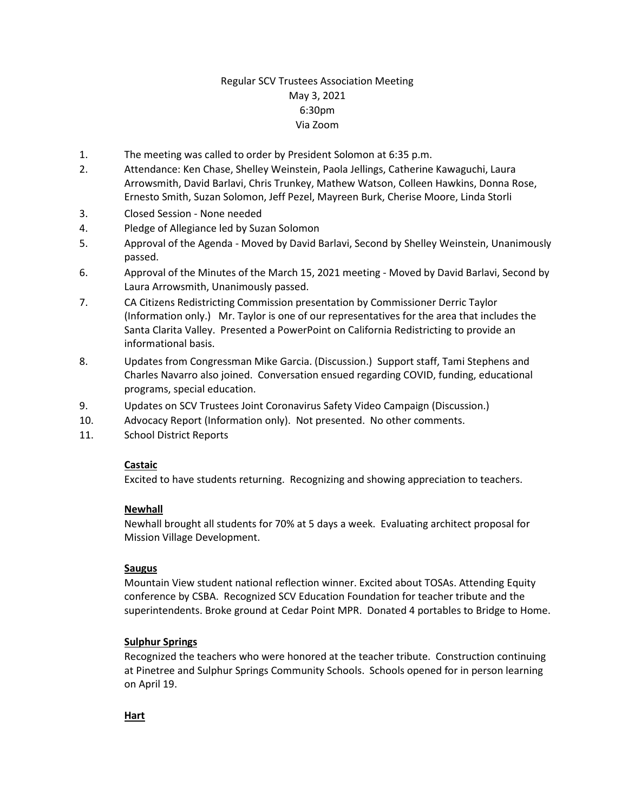# Regular SCV Trustees Association Meeting May 3, 2021 6:30pm Via Zoom

- 1. The meeting was called to order by President Solomon at 6:35 p.m.
- 2. Attendance: Ken Chase, Shelley Weinstein, Paola Jellings, Catherine Kawaguchi, Laura Arrowsmith, David Barlavi, Chris Trunkey, Mathew Watson, Colleen Hawkins, Donna Rose, Ernesto Smith, Suzan Solomon, Jeff Pezel, Mayreen Burk, Cherise Moore, Linda Storli
- 3. Closed Session None needed
- 4. Pledge of Allegiance led by Suzan Solomon
- 5. Approval of the Agenda Moved by David Barlavi, Second by Shelley Weinstein, Unanimously passed.
- 6. Approval of the Minutes of the March 15, 2021 meeting Moved by David Barlavi, Second by Laura Arrowsmith, Unanimously passed.
- 7. CA Citizens Redistricting Commission presentation by Commissioner Derric Taylor (Information only.) Mr. Taylor is one of our representatives for the area that includes the Santa Clarita Valley. Presented a PowerPoint on California Redistricting to provide an informational basis.
- 8. Updates from Congressman Mike Garcia. (Discussion.) Support staff, Tami Stephens and Charles Navarro also joined. Conversation ensued regarding COVID, funding, educational programs, special education.
- 9. Updates on SCV Trustees Joint Coronavirus Safety Video Campaign (Discussion.)
- 10. Advocacy Report (Information only). Not presented. No other comments.
- 11. School District Reports

## **Castaic**

Excited to have students returning. Recognizing and showing appreciation to teachers.

## **Newhall**

Newhall brought all students for 70% at 5 days a week. Evaluating architect proposal for Mission Village Development.

## **Saugus**

Mountain View student national reflection winner. Excited about TOSAs. Attending Equity conference by CSBA. Recognized SCV Education Foundation for teacher tribute and the superintendents. Broke ground at Cedar Point MPR. Donated 4 portables to Bridge to Home.

## **Sulphur Springs**

Recognized the teachers who were honored at the teacher tribute. Construction continuing at Pinetree and Sulphur Springs Community Schools. Schools opened for in person learning on April 19.